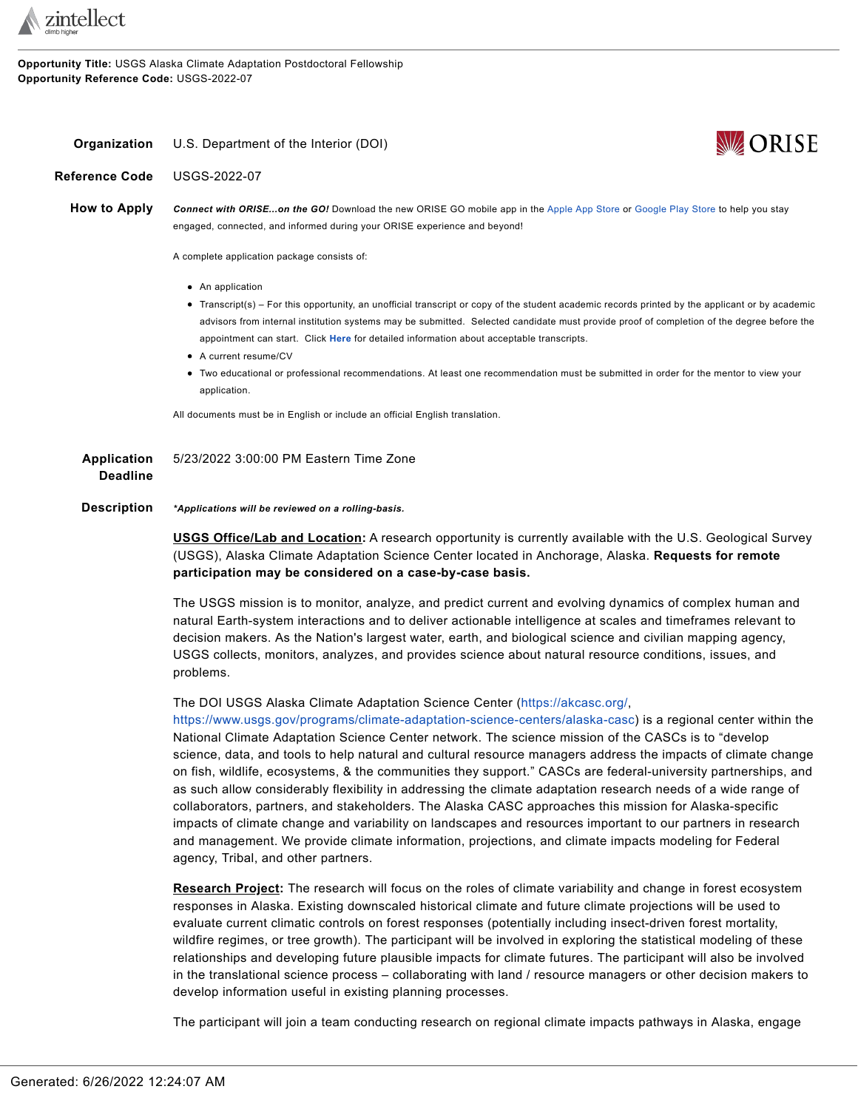

**Opportunity Title:** USGS Alaska Climate Adaptation Postdoctoral Fellowship **Opportunity Reference Code:** USGS-2022-07

## <span id="page-0-0"></span>**Organization** U.S. Department of the Interior (DOI)



**Reference Code** USGS-2022-07

**How to Apply** *Connect with ORISE...on the GO!* Download the new ORISE GO mobile app in the [Apple](https://apps.apple.com/us/app/orise-go/id1491975263) App Store or [Google](https://play.google.com/store/apps/details?id=org.orau.ima.orisego&hl=en_US) Play Store to help you stay engaged, connected, and informed during your ORISE experience and beyond!

A complete application package consists of:

- An application
- Transcript(s) For this opportunity, an unofficial transcript or copy of the student academic records printed by the applicant or by academic advisors from internal institution systems may be submitted. Selected candidate must provide proof of completion of the degree before the appointment can start. Click **[Here](https://orise.orau.gov/sepreview/transcripts.html)** for detailed information about acceptable transcripts.
- A current resume/CV
- Two educational or professional recommendations. At least one recommendation must be submitted in order for the mentor to view your application.

All documents must be in English or include an official English translation.

| Application     | 5/23/2022 3:00:00 PM Eastern Time Zone |
|-----------------|----------------------------------------|
| <b>Deadline</b> |                                        |

**Description** *\*Applications will be reviewed on a rolling-basis.*

**USGS Office/Lab and Location:** A research opportunity is currently available with the U.S. Geological Survey (USGS), Alaska Climate Adaptation Science Center located in Anchorage, Alaska. **Requests for remote participation may be considered on a case-by-case basis.**

The USGS mission is to monitor, analyze, and predict current and evolving dynamics of complex human and natural Earth-system interactions and to deliver actionable intelligence at scales and timeframes relevant to decision makers. As the Nation's largest water, earth, and biological science and civilian mapping agency, USGS collects, monitors, analyzes, and provides science about natural resource conditions, issues, and problems.

The DOI USGS Alaska Climate Adaptation Science Center (<https://akcasc.org/>,

<https://www.usgs.gov/programs/climate-adaptation-science-centers/alaska-casc>) is a regional center within the National Climate Adaptation Science Center network. The science mission of the CASCs is to "develop science, data, and tools to help natural and cultural resource managers address the impacts of climate change on fish, wildlife, ecosystems, & the communities they support." CASCs are federal-university partnerships, and as such allow considerably flexibility in addressing the climate adaptation research needs of a wide range of collaborators, partners, and stakeholders. The Alaska CASC approaches this mission for Alaska-specific impacts of climate change and variability on landscapes and resources important to our partners in research and management. We provide climate information, projections, and climate impacts modeling for Federal agency, Tribal, and other partners.

**Research Project:** The research will focus on the roles of climate variability and change in forest ecosystem responses in Alaska. Existing downscaled historical climate and future climate projections will be used to evaluate current climatic controls on forest responses (potentially including insect-driven forest mortality, wildfire regimes, or tree growth). The participant will be involved in exploring the statistical modeling of these relationships and developing future plausible impacts for climate futures. The participant will also be involved in the translational science process – collaborating with land / resource managers or other decision makers to develop information useful in existing planning processes.

The participant will join a team conducting research on regional climate impacts pathways in Alaska, engage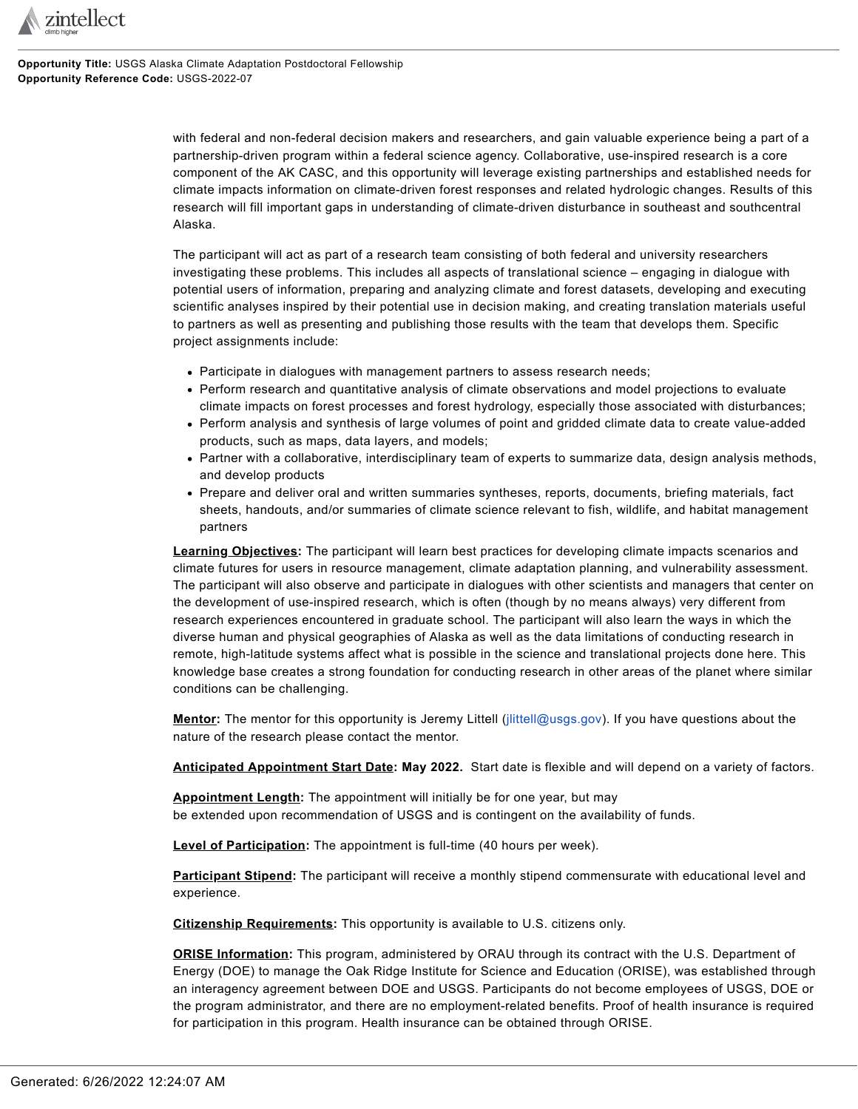

**Opportunity Title:** USGS Alaska Climate Adaptation Postdoctoral Fellowship **Opportunity Reference Code:** USGS-2022-07

> with federal and non-federal decision makers and researchers, and gain valuable experience being a part of a partnership-driven program within a federal science agency. Collaborative, use-inspired research is a core component of the AK CASC, and this opportunity will leverage existing partnerships and established needs for climate impacts information on climate-driven forest responses and related hydrologic changes. Results of this research will fill important gaps in understanding of climate-driven disturbance in southeast and southcentral Alaska.

The participant will act as part of a research team consisting of both federal and university researchers investigating these problems. This includes all aspects of translational science – engaging in dialogue with potential users of information, preparing and analyzing climate and forest datasets, developing and executing scientific analyses inspired by their potential use in decision making, and creating translation materials useful to partners as well as presenting and publishing those results with the team that develops them. Specific project assignments include:

- Participate in dialogues with management partners to assess research needs;
- Perform research and quantitative analysis of climate observations and model projections to evaluate climate impacts on forest processes and forest hydrology, especially those associated with disturbances;
- Perform analysis and synthesis of large volumes of point and gridded climate data to create value-added products, such as maps, data layers, and models;
- Partner with a collaborative, interdisciplinary team of experts to summarize data, design analysis methods, and develop products
- Prepare and deliver oral and written summaries syntheses, reports, documents, briefing materials, fact sheets, handouts, and/or summaries of climate science relevant to fish, wildlife, and habitat management partners

**Learning Objectives:** The participant will learn best practices for developing climate impacts scenarios and climate futures for users in resource management, climate adaptation planning, and vulnerability assessment. The participant will also observe and participate in dialogues with other scientists and managers that center on the development of use-inspired research, which is often (though by no means always) very different from research experiences encountered in graduate school. The participant will also learn the ways in which the diverse human and physical geographies of Alaska as well as the data limitations of conducting research in remote, high-latitude systems affect what is possible in the science and translational projects done here. This knowledge base creates a strong foundation for conducting research in other areas of the planet where similar conditions can be challenging.

**Mentor:** The mentor for this opportunity is Jeremy Littell [\(jlittell@usgs.gov\)](mailto:jlittell@usgs.gov). If you have questions about the nature of the research please contact the mentor.

**Anticipated Appointment Start Date: May 2022.** Start date is flexible and will depend on a variety of factors.

**Appointment Length:** The appointment will initially be for one year, but may be extended upon recommendation of USGS and is contingent on the availability of funds.

**Level of Participation:** The appointment is full-time (40 hours per week).

**Participant Stipend:** The participant will receive a monthly stipend commensurate with educational level and experience.

**Citizenship Requirements:** This opportunity is available to U.S. citizens only.

**ORISE Information:** This program, administered by ORAU through its contract with the U.S. Department of Energy (DOE) to manage the Oak Ridge Institute for Science and Education (ORISE), was established through an interagency agreement between DOE and USGS. Participants do not become employees of USGS, DOE or the program administrator, and there are no employment-related benefits. Proof of health insurance is required for participation in this program. Health insurance can be obtained through ORISE.